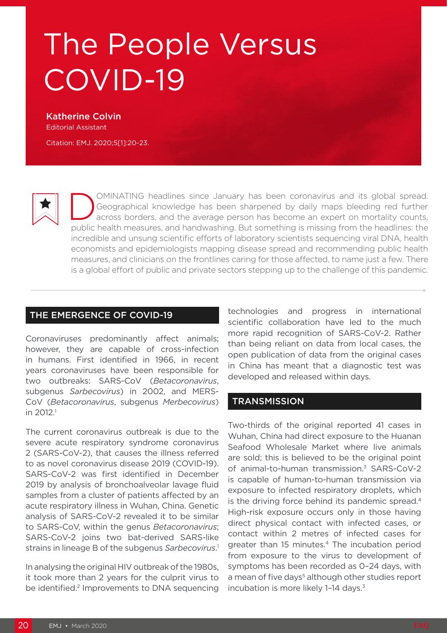# The People Versus COVID-19

Katherine Colvin Editorial Assistant

Citation: EMJ. 2020;5[1]:20-23.

OMINATING headlines since January has been coronavirus and its global spread.<br>Geographical knowledge has been sharpened by daily maps bleeding red further<br>across borders, and the average person has become an expert on mort Geographical knowledge has been sharpened by daily maps bleeding red further across borders, and the average person has become an expert on mortality counts, public health measures, and handwashing. But something is missing from the headlines: the incredible and unsung scientific efforts of laboratory scientists sequencing viral DNA, health economists and epidemiologists mapping disease spread and recommending public health measures, and clinicians on the frontlines caring for those affected, to name just a few. There is a global effort of public and private sectors stepping up to the challenge of this pandemic.

#### THE EMERGENCE OF COVID-19

Coronaviruses predominantly affect animals; however, they are capable of cross-infection in humans. First identified in 1966, in recent years coronaviruses have been responsible for two outbreaks: SARS-CoV (*Betacoronavirus*, subgenus *Sarbecovirus*) in 2002, and MERS-CoV (*Betacoronavirus*, subgenus *Merbecovirus*) in 2012.1

The current coronavirus outbreak is due to the severe acute respiratory syndrome coronavirus 2 (SARS-CoV-2), that causes the illness referred to as novel coronavirus disease 2019 (COVID-19). SARS-CoV-2 was first identified in December 2019 by analysis of bronchoalveolar lavage fluid samples from a cluster of patients affected by an acute respiratory illness in Wuhan, China. Genetic analysis of SARS-CoV-2 revealed it to be similar to SARS-CoV, within the genus *Betacoronavirus*; SARS-CoV-2 joins two bat-derived SARS-like strains in lineage B of the subgenus *Sarbecovirus*. 1

In analysing the original HIV outbreak of the 1980s, it took more than 2 years for the culprit virus to be identified.<sup>2</sup> Improvements to DNA sequencing technologies and progress in international scientific collaboration have led to the much more rapid recognition of SARS-CoV-2. Rather than being reliant on data from local cases, the open publication of data from the original cases in China has meant that a diagnostic test was developed and released within days.

### **TRANSMISSION**

Two-thirds of the original reported 41 cases in Wuhan, China had direct exposure to the Huanan Seafood Wholesale Market where live animals are sold; this is believed to be the original point of animal-to-human transmission.<sup>3</sup> SARS-CoV-2 is capable of human-to-human transmission via exposure to infected respiratory droplets, which is the driving force behind its pandemic spread.<sup>4</sup> High-risk exposure occurs only in those having direct physical contact with infected cases, or contact within 2 metres of infected cases for greater than 15 minutes.<sup>4</sup> The incubation period from exposure to the virus to development of symptoms has been recorded as 0–24 days, with a mean of five days<sup>5</sup> although other studies report incubation is more likely 1-14 days.<sup>3</sup>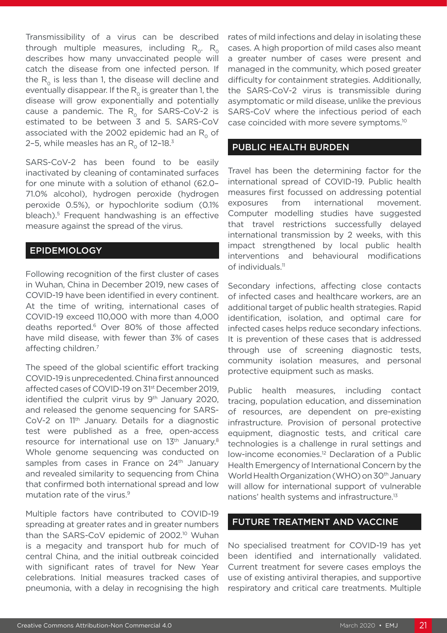Transmissibility of a virus can be described through multiple measures, including  $R_0$ .  $R_0$ describes how many unvaccinated people will catch the disease from one infected person. If the  $R_0$  is less than 1, the disease will decline and eventually disappear. If the  $R_0$  is greater than 1, the disease will grow exponentially and potentially cause a pandemic. The  $R_0$  for SARS-CoV-2 is estimated to be between 3 and 5. SARS-CoV associated with the 2002 epidemic had an  $R_0$  of 2-5, while measles has an  $R_0$  of 12-18.<sup>3</sup>

SARS-CoV-2 has been found to be easily inactivated by cleaning of contaminated surfaces for one minute with a solution of ethanol (62.0– 71.0% alcohol), hydrogen peroxide (hydrogen peroxide 0.5%), or hypochlorite sodium (0.1% bleach).5 Frequent handwashing is an effective measure against the spread of the virus.

# EPIDEMIOLOGY

Following recognition of the first cluster of cases in Wuhan, China in December 2019, new cases of COVID-19 have been identified in every continent. At the time of writing, international cases of COVID-19 exceed 110,000 with more than 4,000 deaths reported.<sup>6</sup> Over 80% of those affected have mild disease, with fewer than 3% of cases affecting children.7

The speed of the global scientific effort tracking COVID-19 is unprecedented. China first announced affected cases of COVID-19 on 31st December 2019, identified the culprit virus by 9<sup>th</sup> January 2020, and released the genome sequencing for SARS-CoV-2 on 11th January. Details for a diagnostic test were published as a free, open-access resource for international use on 13<sup>th</sup> January.<sup>8</sup> Whole genome sequencing was conducted on samples from cases in France on 24<sup>th</sup> January and revealed similarity to sequencing from China that confirmed both international spread and low mutation rate of the virus.<sup>9</sup>

Multiple factors have contributed to COVID-19 spreading at greater rates and in greater numbers than the SARS-CoV epidemic of 2002.<sup>10</sup> Wuhan is a megacity and transport hub for much of central China, and the initial outbreak coincided with significant rates of travel for New Year celebrations. Initial measures tracked cases of pneumonia, with a delay in recognising the high

rates of mild infections and delay in isolating these cases. A high proportion of mild cases also meant a greater number of cases were present and managed in the community, which posed greater difficulty for containment strategies. Additionally, the SARS-CoV-2 virus is transmissible during asymptomatic or mild disease, unlike the previous SARS-CoV where the infectious period of each case coincided with more severe symptoms.10

# PUBLIC HEALTH BURDEN

Travel has been the determining factor for the international spread of COVID-19. Public health measures first focussed on addressing potential exposures from international movement. Computer modelling studies have suggested that travel restrictions successfully delayed international transmission by 2 weeks, with this impact strengthened by local public health interventions and behavioural modifications of individuals.<sup>11</sup>

Secondary infections, affecting close contacts of infected cases and healthcare workers, are an additional target of public health strategies. Rapid identification, isolation, and optimal care for infected cases helps reduce secondary infections. It is prevention of these cases that is addressed through use of screening diagnostic tests, community isolation measures, and personal protective equipment such as masks.

Public health measures, including contact tracing, population education, and dissemination of resources, are dependent on pre-existing infrastructure. Provision of personal protective equipment, diagnostic tests, and critical care technologies is a challenge in rural settings and low-income economies.12 Declaration of a Public Health Emergency of International Concern by the World Health Organization (WHO) on 30<sup>th</sup> January will allow for international support of vulnerable nations' health systems and infrastructure.13

### FUTURE TREATMENT AND VACCINE

No specialised treatment for COVID-19 has yet been identified and internationally validated. Current treatment for severe cases employs the use of existing antiviral therapies, and supportive respiratory and critical care treatments. Multiple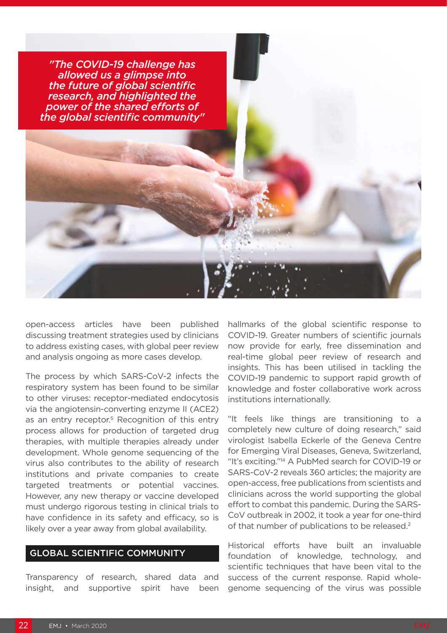

open-access articles have been published discussing treatment strategies used by clinicians to address existing cases, with global peer review and analysis ongoing as more cases develop.

The process by which SARS-CoV-2 infects the respiratory system has been found to be similar to other viruses: receptor-mediated endocytosis via the angiotensin-converting enzyme II (ACE2) as an entry receptor.<sup>5</sup> Recognition of this entry process allows for production of targeted drug therapies, with multiple therapies already under development. Whole genome sequencing of the virus also contributes to the ability of research institutions and private companies to create targeted treatments or potential vaccines. However, any new therapy or vaccine developed must undergo rigorous testing in clinical trials to have confidence in its safety and efficacy, so is likely over a year away from global availability.

## GLOBAL SCIENTIFIC COMMUNITY

Transparency of research, shared data and insight, and supportive spirit have been

hallmarks of the global scientific response to COVID-19. Greater numbers of scientific journals now provide for early, free dissemination and real-time global peer review of research and insights. This has been utilised in tackling the COVID-19 pandemic to support rapid growth of knowledge and foster collaborative work across institutions internationally.

"It feels like things are transitioning to a completely new culture of doing research," said virologist Isabella Eckerle of the Geneva Centre for Emerging Viral Diseases, Geneva, Switzerland, "It's exciting."14 A PubMed search for COVID-19 or SARS-CoV-2 reveals 360 articles; the majority are open-access, free publications from scientists and clinicians across the world supporting the global effort to combat this pandemic. During the SARS-CoV outbreak in 2002, it took a year for one-third of that number of publications to be released.<sup>2</sup>

Historical efforts have built an invaluable foundation of knowledge, technology, and scientific techniques that have been vital to the success of the current response. Rapid wholegenome sequencing of the virus was possible